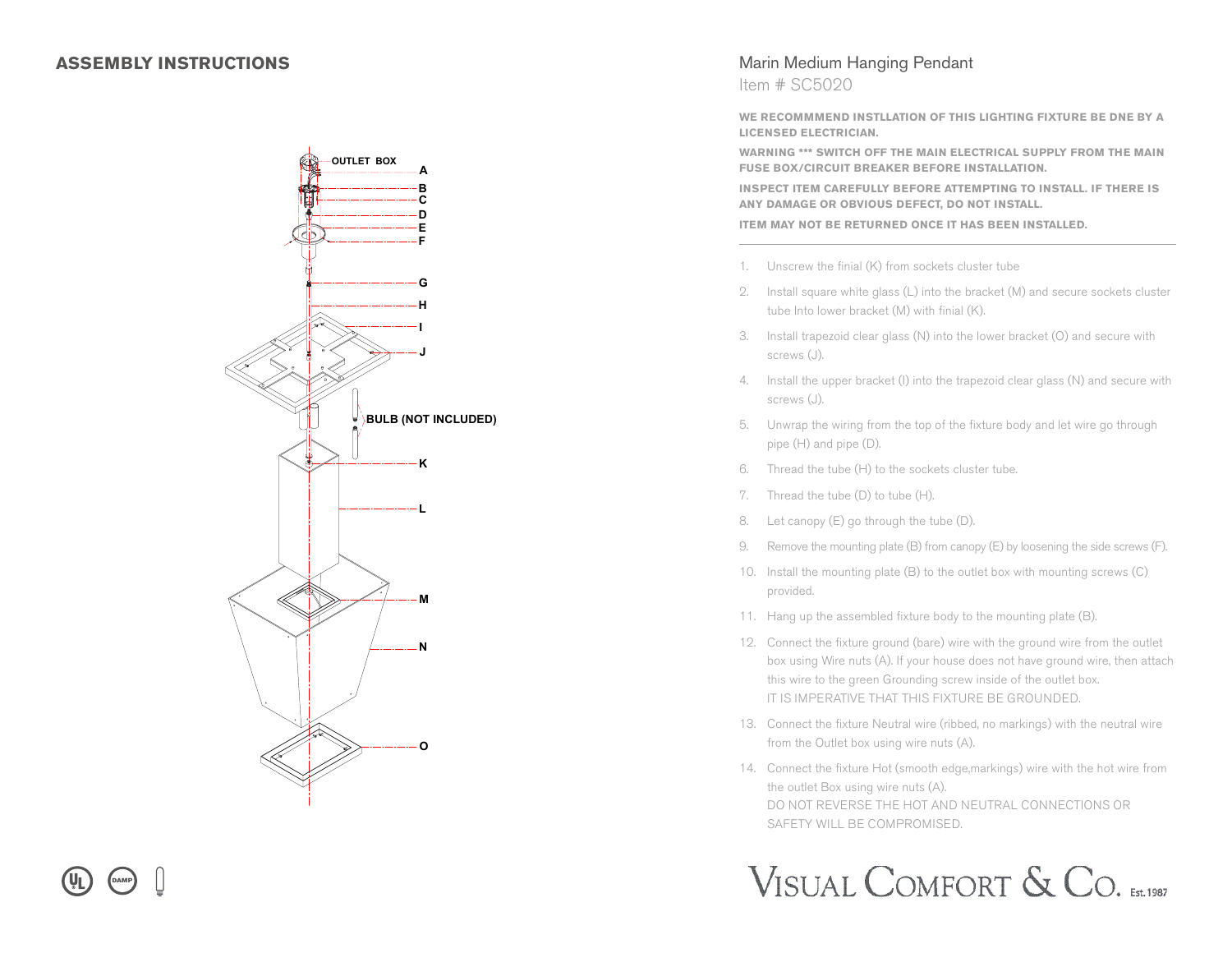

## Marin Medium Hanging Pendant

Item # SC5020

**WE RECOMMMEND INSTLLATION OF THIS LIGHTING FIXTURE BE DNE BY A LICENSED ELECTRICIAN.**

**WARNING \*\*\* SWITCH OFF THE MAIN ELECTRICAL SUPPLY FROM THE MAIN FUSE BOX/CIRCUIT BREAKER BEFORE INSTALLATION.**

**INSPECT ITEM CAREFULLY BEFORE ATTEMPTING TO INSTALL. IF THERE IS ANY DAMAGE OR OBVIOUS DEFECT, DO NOT INSTALL.**

**ITEM MAY NOT BE RETURNED ONCE IT HAS BEEN INSTALLED.**

- 1. Unscrew the finial (K) from sockets cluster tube
- 2. Install square white glass (L) into the bracket (M) and secure sockets cluster tube Into lower bracket (M) with finial (K).
- 3. Install trapezoid clear glass (N) into the lower bracket (O) and secure with screws (J).
- 4. Install the upper bracket (I) into the trapezoid clear glass (N) and secure with screws (J).
- 5. Unwrap the wiring from the top of the fixture body and let wire go through pipe (H) and pipe (D).
- 6. Thread the tube (H) to the sockets cluster tube.
- 7. Thread the tube (D) to tube (H).
- 8. Let canopy (E) go through the tube (D).
- 9. Remove the mounting plate (B) from canopy (E) by loosening the side screws (F).
- 10. Install the mounting plate (B) to the outlet box with mounting screws (C) provided.
- 11. Hang up the assembled fixture body to the mounting plate (B).
- 12. Connect the fixture ground (bare) wire with the ground wire from the outlet box using Wire nuts (A). If your house does not have ground wire, then attach this wire to the green Grounding screw inside of the outlet box. IT IS IMPERATIVE THAT THIS FIXTURE BE GROUNDED.
- 13. Connect the fixture Neutral wire (ribbed, no markings) with the neutral wire from the Outlet box using wire nuts (A).
- 14. Connect the fixture Hot (smooth edge,markings) wire with the hot wire from the outlet Box using wire nuts (A). DO NOT REVERSE THE HOT AND NEUTRAL CONNECTIONS OR SAFETY WILL BE COMPROMISED.

## VISUAL COMFORT & CO. EST.1987